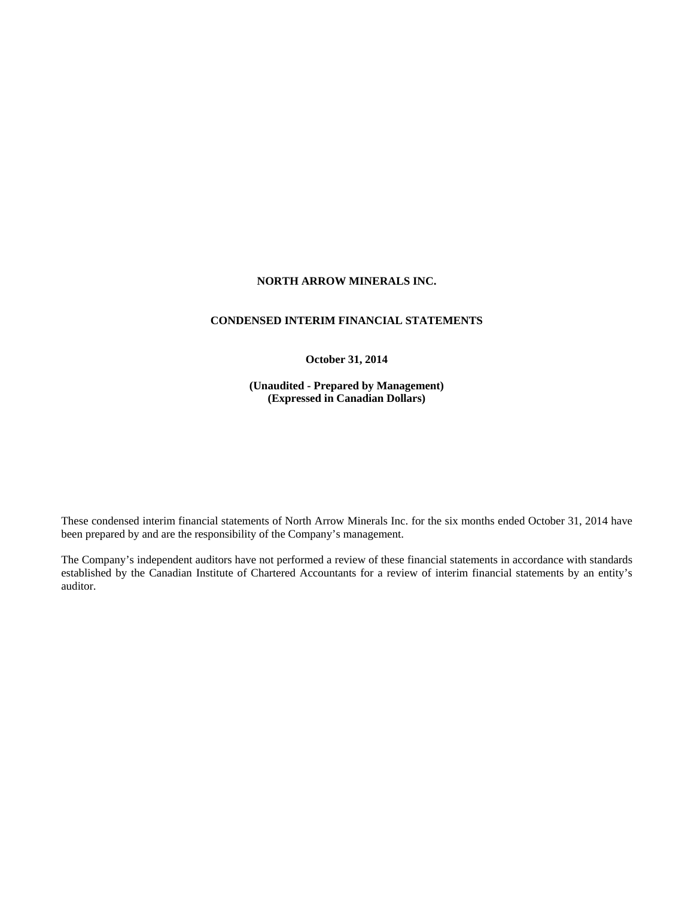# **NORTH ARROW MINERALS INC.**

### **CONDENSED INTERIM FINANCIAL STATEMENTS**

#### **October 31, 2014**

**(Unaudited - Prepared by Management) (Expressed in Canadian Dollars)** 

These condensed interim financial statements of North Arrow Minerals Inc. for the six months ended October 31, 2014 have been prepared by and are the responsibility of the Company's management.

The Company's independent auditors have not performed a review of these financial statements in accordance with standards established by the Canadian Institute of Chartered Accountants for a review of interim financial statements by an entity's auditor.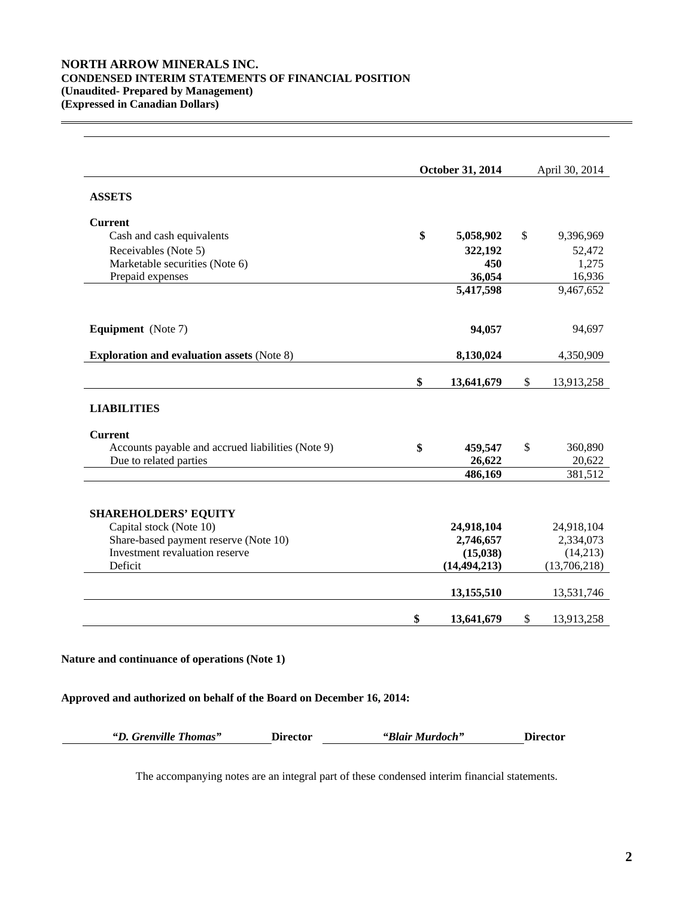# **NORTH ARROW MINERALS INC. CONDENSED INTERIM STATEMENTS OF FINANCIAL POSITION (Unaudited- Prepared by Management) (Expressed in Canadian Dollars)**

 $\overline{a}$ 

|                                                   | October 31, 2014 | April 30, 2014   |
|---------------------------------------------------|------------------|------------------|
| <b>ASSETS</b>                                     |                  |                  |
| <b>Current</b>                                    |                  |                  |
| Cash and cash equivalents                         | \$<br>5,058,902  | \$<br>9,396,969  |
| Receivables (Note 5)                              | 322,192          | 52,472           |
| Marketable securities (Note 6)                    | 450              | 1,275            |
| Prepaid expenses                                  | 36,054           | 16,936           |
|                                                   | 5,417,598        | 9,467,652        |
| <b>Equipment</b> (Note 7)                         | 94,057           | 94,697           |
| <b>Exploration and evaluation assets (Note 8)</b> | 8,130,024        | 4,350,909        |
|                                                   | \$<br>13,641,679 | \$<br>13,913,258 |
| <b>LIABILITIES</b>                                |                  |                  |
| <b>Current</b>                                    |                  |                  |
| Accounts payable and accrued liabilities (Note 9) | \$<br>459,547    | \$<br>360,890    |
| Due to related parties                            | 26,622           | 20,622           |
|                                                   | 486,169          | 381,512          |
| <b>SHAREHOLDERS' EQUITY</b>                       |                  |                  |
| Capital stock (Note 10)                           | 24,918,104       | 24,918,104       |
| Share-based payment reserve (Note 10)             | 2,746,657        | 2,334,073        |
| Investment revaluation reserve                    | (15,038)         | (14,213)         |
| Deficit                                           | (14, 494, 213)   | (13,706,218)     |
|                                                   | 13,155,510       | 13,531,746       |
|                                                   | \$<br>13,641,679 | \$<br>13,913,258 |

# **Nature and continuance of operations (Note 1)**

# **Approved and authorized on behalf of the Board on December 16, 2014:**

| "D. Grenville Thomas" | <b>Director</b> | "Blair Murdoch" | <b>Director</b> |
|-----------------------|-----------------|-----------------|-----------------|
|-----------------------|-----------------|-----------------|-----------------|

The accompanying notes are an integral part of these condensed interim financial statements.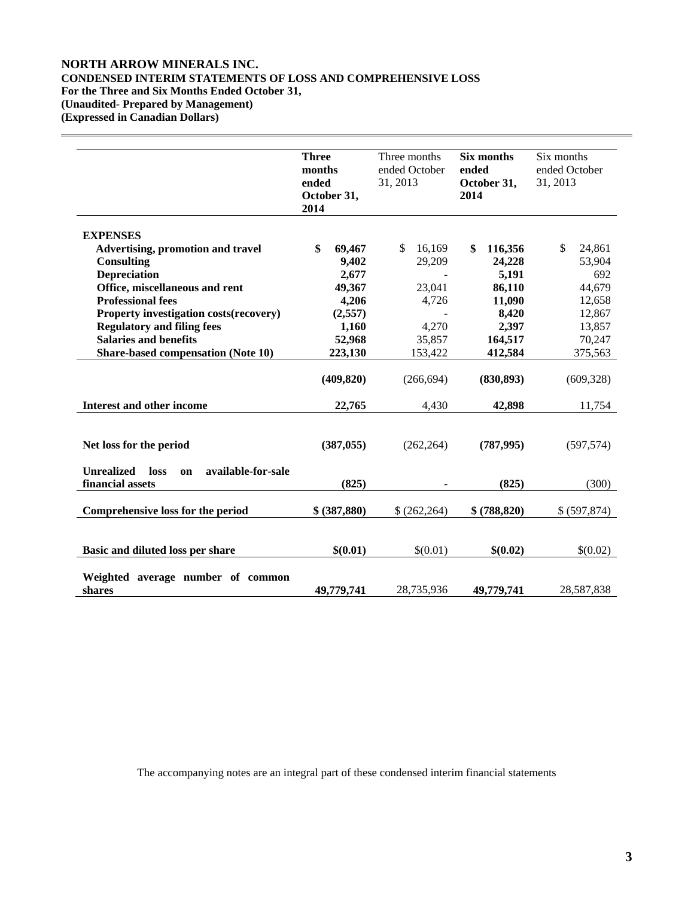# **NORTH ARROW MINERALS INC. CONDENSED INTERIM STATEMENTS OF LOSS AND COMPREHENSIVE LOSS For the Three and Six Months Ended October 31, (Unaudited- Prepared by Management) (Expressed in Canadian Dollars)**

 $\overline{a}$ 

|                                                                           | <b>Three</b><br>months<br>ended<br>October 31,<br>2014 | Three months<br>ended October<br>31, 2013 | <b>Six months</b><br>ended<br>October 31,<br>2014 | Six months<br>ended October<br>31, 2013 |
|---------------------------------------------------------------------------|--------------------------------------------------------|-------------------------------------------|---------------------------------------------------|-----------------------------------------|
| <b>EXPENSES</b>                                                           |                                                        |                                           |                                                   |                                         |
| <b>Advertising, promotion and travel</b>                                  | \$<br>69,467                                           | \$<br>16,169                              | 116,356<br>\$                                     | \$<br>24,861                            |
| <b>Consulting</b>                                                         | 9,402                                                  | 29,209                                    | 24,228                                            | 53,904                                  |
| <b>Depreciation</b>                                                       | 2,677                                                  |                                           | 5,191                                             | 692                                     |
| Office, miscellaneous and rent                                            | 49,367                                                 | 23,041                                    | 86,110                                            | 44,679                                  |
| <b>Professional fees</b>                                                  | 4,206                                                  | 4,726                                     | 11,090                                            | 12,658                                  |
| Property investigation costs (recovery)                                   | (2,557)                                                |                                           | 8,420                                             | 12,867                                  |
| <b>Regulatory and filing fees</b>                                         | 1,160                                                  | 4,270                                     | 2,397                                             | 13,857                                  |
| <b>Salaries and benefits</b>                                              | 52,968                                                 | 35,857                                    | 164,517                                           | 70,247                                  |
| <b>Share-based compensation (Note 10)</b>                                 | 223,130                                                | 153,422                                   | 412,584                                           | 375,563                                 |
|                                                                           | (409, 820)                                             | (266, 694)                                | (830, 893)                                        | (609, 328)                              |
| <b>Interest and other income</b>                                          | 22,765                                                 | 4,430                                     | 42,898                                            | 11,754                                  |
| Net loss for the period                                                   | (387, 055)                                             | (262, 264)                                | (787, 995)                                        | (597, 574)                              |
| <b>Unrealized</b><br>available-for-sale<br>loss<br>on<br>financial assets | (825)                                                  |                                           | (825)                                             | (300)                                   |
| Comprehensive loss for the period                                         | \$ (387,880)                                           | \$(262,264)                               | \$ (788, 820)                                     | \$ (597,874)                            |
| Basic and diluted loss per share                                          | \$(0.01)                                               | \$(0.01)                                  | \$(0.02)                                          | \$(0.02)                                |
| Weighted average number of common<br>shares                               | 49,779,741                                             | 28,735,936                                | 49,779,741                                        | 28,587,838                              |

The accompanying notes are an integral part of these condensed interim financial statements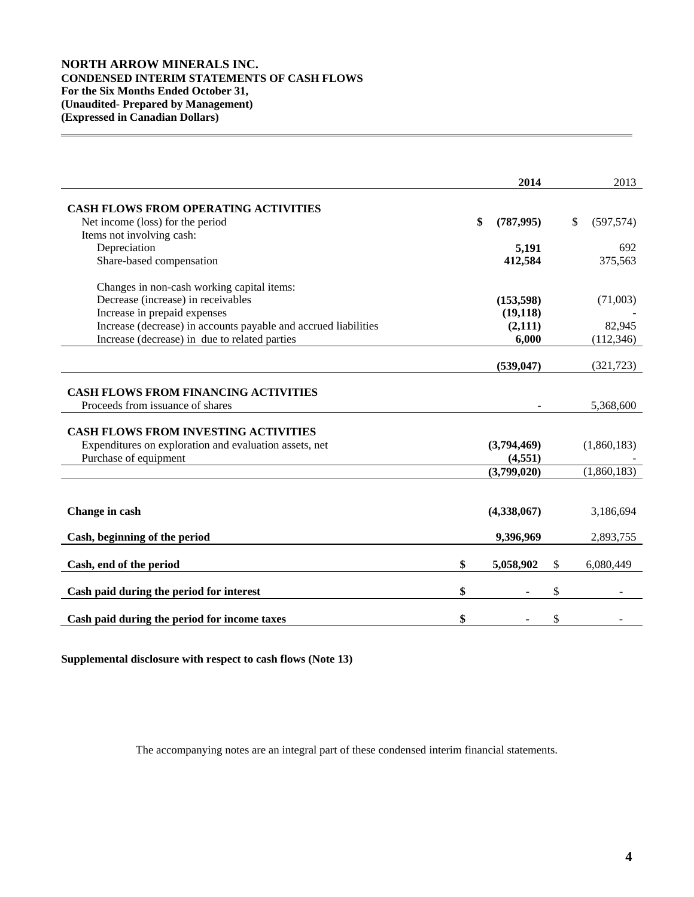# **NORTH ARROW MINERALS INC. CONDENSED INTERIM STATEMENTS OF CASH FLOWS For the Six Months Ended October 31, (Unaudited- Prepared by Management) (Expressed in Canadian Dollars)**

 $\overline{a}$ 

|                                                                                 | 2014             | 2013             |
|---------------------------------------------------------------------------------|------------------|------------------|
|                                                                                 |                  |                  |
| <b>CASH FLOWS FROM OPERATING ACTIVITIES</b><br>Net income (loss) for the period | \$<br>(787, 995) | \$<br>(597, 574) |
| Items not involving cash:                                                       |                  |                  |
| Depreciation                                                                    | 5,191            | 692              |
| Share-based compensation                                                        | 412,584          | 375,563          |
|                                                                                 |                  |                  |
| Changes in non-cash working capital items:                                      |                  |                  |
| Decrease (increase) in receivables                                              | (153, 598)       | (71,003)         |
| Increase in prepaid expenses                                                    | (19, 118)        |                  |
| Increase (decrease) in accounts payable and accrued liabilities                 | (2,111)          | 82,945           |
| Increase (decrease) in due to related parties                                   | 6,000            | (112, 346)       |
|                                                                                 |                  |                  |
|                                                                                 | (539, 047)       | (321, 723)       |
|                                                                                 |                  |                  |
| <b>CASH FLOWS FROM FINANCING ACTIVITIES</b>                                     |                  |                  |
| Proceeds from issuance of shares                                                |                  | 5,368,600        |
| <b>CASH FLOWS FROM INVESTING ACTIVITIES</b>                                     |                  |                  |
| Expenditures on exploration and evaluation assets, net                          | (3,794,469)      | (1,860,183)      |
| Purchase of equipment                                                           | (4, 551)         |                  |
|                                                                                 | (3,799,020)      | (1,860,183)      |
|                                                                                 |                  |                  |
|                                                                                 |                  |                  |
| Change in cash                                                                  | (4,338,067)      | 3,186,694        |
|                                                                                 |                  |                  |
| Cash, beginning of the period                                                   | 9,396,969        | 2,893,755        |
|                                                                                 |                  |                  |
| Cash, end of the period                                                         | \$<br>5,058,902  | \$<br>6,080,449  |
| Cash paid during the period for interest                                        | \$               | \$               |
|                                                                                 |                  |                  |
| Cash paid during the period for income taxes                                    | \$               | \$               |

**Supplemental disclosure with respect to cash flows (Note 13)**

The accompanying notes are an integral part of these condensed interim financial statements.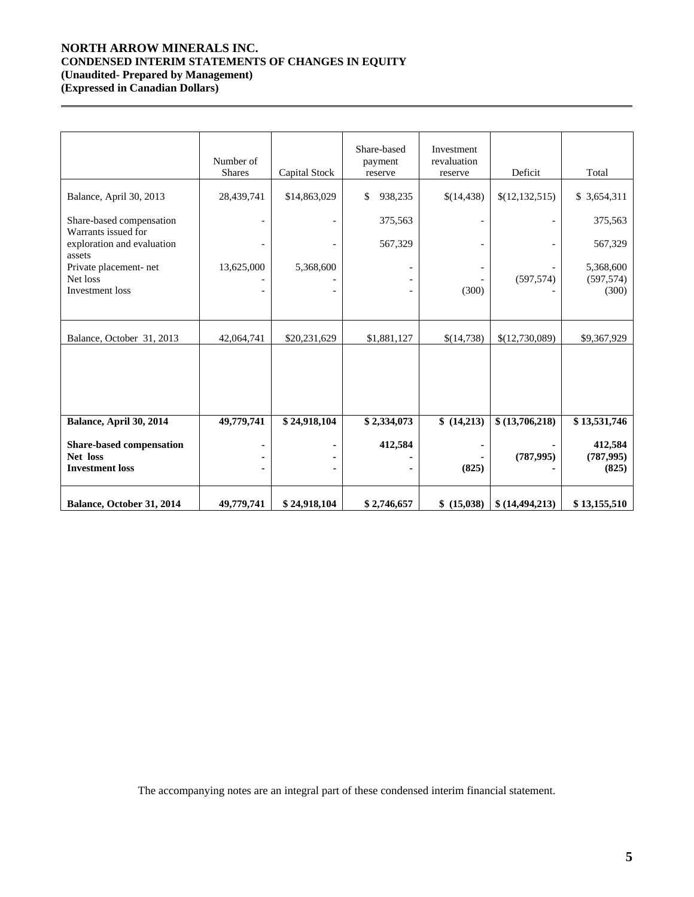# **NORTH ARROW MINERALS INC. CONDENSED INTERIM STATEMENTS OF CHANGES IN EQUITY (Unaudited- Prepared by Management)**

**(Expressed in Canadian Dollars)** 

 $\overline{a}$ 

|                                                                | Number of<br><b>Shares</b>   | Capital Stock | Share-based<br>payment<br>reserve | Investment<br>revaluation<br>reserve | Deficit          | Total                            |
|----------------------------------------------------------------|------------------------------|---------------|-----------------------------------|--------------------------------------|------------------|----------------------------------|
| Balance, April 30, 2013                                        | 28,439,741                   | \$14,863,029  | 938,235<br>\$                     | \$(14,438)                           | \$(12, 132, 515) | \$ 3,654,311                     |
| Share-based compensation<br>Warrants issued for                | $\qquad \qquad \blacksquare$ |               | 375,563                           | $\overline{\phantom{a}}$             |                  | 375,563                          |
| exploration and evaluation<br>assets                           |                              |               | 567,329                           |                                      |                  | 567,329                          |
| Private placement- net<br>Net loss<br>Investment loss          | 13,625,000                   | 5,368,600     |                                   | (300)                                | (597, 574)       | 5,368,600<br>(597, 574)<br>(300) |
| Balance, October 31, 2013                                      | 42,064,741                   | \$20,231,629  | \$1,881,127                       | \$(14,738)                           | \$(12,730,089)   | \$9,367,929                      |
|                                                                |                              |               |                                   |                                      |                  |                                  |
| Balance, April 30, 2014                                        | 49,779,741                   | \$24,918,104  | \$2,334,073                       | \$(14,213)                           | \$(13,706,218)   | \$13,531,746                     |
| Share-based compensation<br>Net loss<br><b>Investment</b> loss |                              |               | 412,584                           | (825)                                | (787, 995)       | 412,584<br>(787, 995)<br>(825)   |
| Balance, October 31, 2014                                      | 49,779,741                   | \$24,918,104  | \$2,746,657                       | \$ (15,038)                          | \$(14, 494, 213) | \$13,155,510                     |

The accompanying notes are an integral part of these condensed interim financial statement.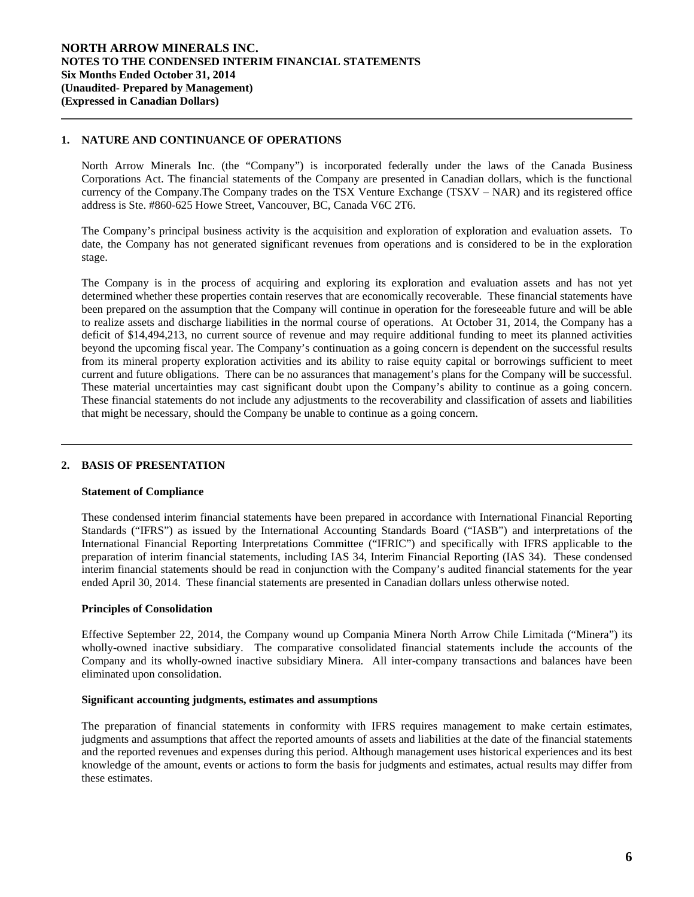### **1. NATURE AND CONTINUANCE OF OPERATIONS**

 $\overline{a}$ 

l

North Arrow Minerals Inc. (the "Company") is incorporated federally under the laws of the Canada Business Corporations Act. The financial statements of the Company are presented in Canadian dollars, which is the functional currency of the Company.The Company trades on the TSX Venture Exchange (TSXV – NAR) and its registered office address is Ste. #860-625 Howe Street, Vancouver, BC, Canada V6C 2T6.

 The Company's principal business activity is the acquisition and exploration of exploration and evaluation assets. To date, the Company has not generated significant revenues from operations and is considered to be in the exploration stage.

The Company is in the process of acquiring and exploring its exploration and evaluation assets and has not yet determined whether these properties contain reserves that are economically recoverable. These financial statements have been prepared on the assumption that the Company will continue in operation for the foreseeable future and will be able to realize assets and discharge liabilities in the normal course of operations. At October 31, 2014, the Company has a deficit of \$14,494,213, no current source of revenue and may require additional funding to meet its planned activities beyond the upcoming fiscal year. The Company's continuation as a going concern is dependent on the successful results from its mineral property exploration activities and its ability to raise equity capital or borrowings sufficient to meet current and future obligations. There can be no assurances that management's plans for the Company will be successful. These material uncertainties may cast significant doubt upon the Company's ability to continue as a going concern. These financial statements do not include any adjustments to the recoverability and classification of assets and liabilities that might be necessary, should the Company be unable to continue as a going concern.

# **2. BASIS OF PRESENTATION**

### **Statement of Compliance**

These condensed interim financial statements have been prepared in accordance with International Financial Reporting Standards ("IFRS") as issued by the International Accounting Standards Board ("IASB") and interpretations of the International Financial Reporting Interpretations Committee ("IFRIC") and specifically with IFRS applicable to the preparation of interim financial statements, including IAS 34, Interim Financial Reporting (IAS 34). These condensed interim financial statements should be read in conjunction with the Company's audited financial statements for the year ended April 30, 2014. These financial statements are presented in Canadian dollars unless otherwise noted.

### **Principles of Consolidation**

Effective September 22, 2014, the Company wound up Compania Minera North Arrow Chile Limitada ("Minera") its wholly-owned inactive subsidiary. The comparative consolidated financial statements include the accounts of the Company and its wholly-owned inactive subsidiary Minera. All inter-company transactions and balances have been eliminated upon consolidation.

#### **Significant accounting judgments, estimates and assumptions**

The preparation of financial statements in conformity with IFRS requires management to make certain estimates, judgments and assumptions that affect the reported amounts of assets and liabilities at the date of the financial statements and the reported revenues and expenses during this period. Although management uses historical experiences and its best knowledge of the amount, events or actions to form the basis for judgments and estimates, actual results may differ from these estimates.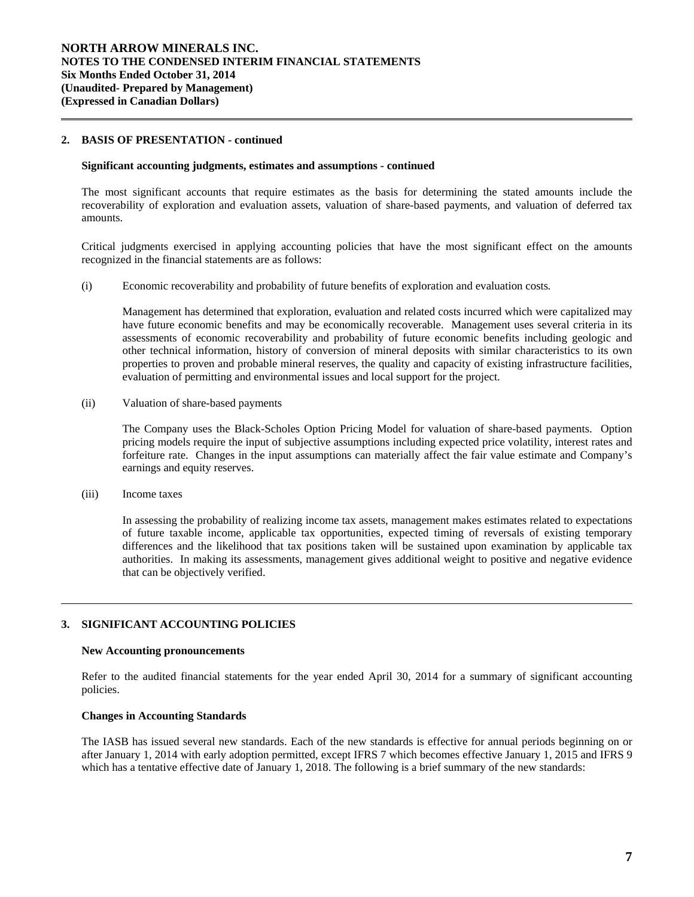### **2. BASIS OF PRESENTATION - continued**

 $\overline{a}$ 

#### **Significant accounting judgments, estimates and assumptions** *-* **continued**

The most significant accounts that require estimates as the basis for determining the stated amounts include the recoverability of exploration and evaluation assets, valuation of share-based payments, and valuation of deferred tax amounts.

Critical judgments exercised in applying accounting policies that have the most significant effect on the amounts recognized in the financial statements are as follows:

(i) Economic recoverability and probability of future benefits of exploration and evaluation costs*.* 

Management has determined that exploration, evaluation and related costs incurred which were capitalized may have future economic benefits and may be economically recoverable. Management uses several criteria in its assessments of economic recoverability and probability of future economic benefits including geologic and other technical information, history of conversion of mineral deposits with similar characteristics to its own properties to proven and probable mineral reserves, the quality and capacity of existing infrastructure facilities, evaluation of permitting and environmental issues and local support for the project.

(ii) Valuation of share-based payments

The Company uses the Black-Scholes Option Pricing Model for valuation of share-based payments. Option pricing models require the input of subjective assumptions including expected price volatility, interest rates and forfeiture rate. Changes in the input assumptions can materially affect the fair value estimate and Company's earnings and equity reserves.

(iii) Income taxes

l

In assessing the probability of realizing income tax assets, management makes estimates related to expectations of future taxable income, applicable tax opportunities, expected timing of reversals of existing temporary differences and the likelihood that tax positions taken will be sustained upon examination by applicable tax authorities. In making its assessments, management gives additional weight to positive and negative evidence that can be objectively verified.

### **3. SIGNIFICANT ACCOUNTING POLICIES**

#### **New Accounting pronouncements**

Refer to the audited financial statements for the year ended April 30, 2014 for a summary of significant accounting policies.

### **Changes in Accounting Standards**

The IASB has issued several new standards. Each of the new standards is effective for annual periods beginning on or after January 1, 2014 with early adoption permitted, except IFRS 7 which becomes effective January 1, 2015 and IFRS 9 which has a tentative effective date of January 1, 2018. The following is a brief summary of the new standards: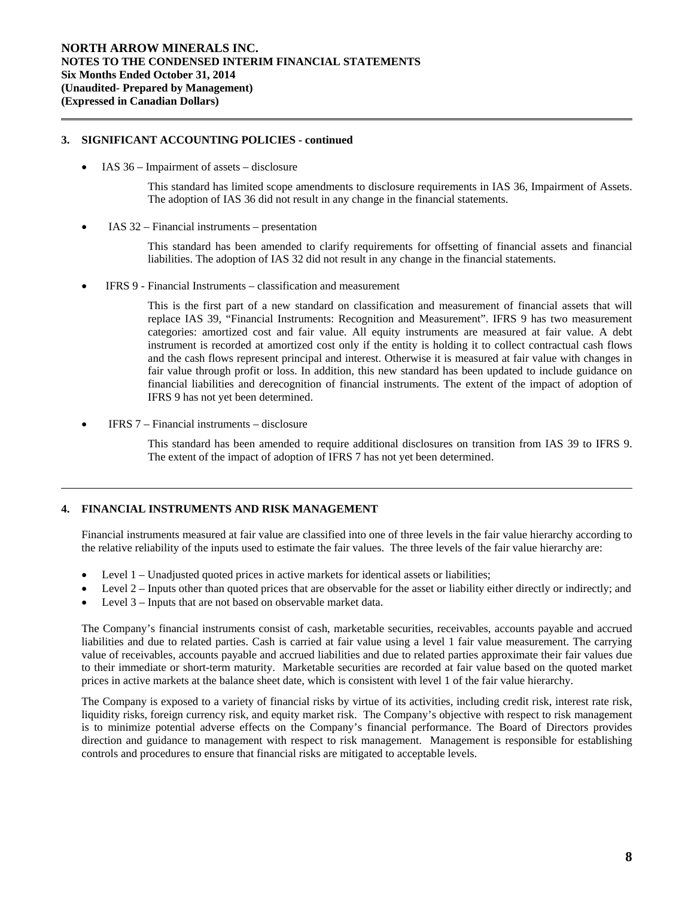# **3. SIGNIFICANT ACCOUNTING POLICIES - continued**

IAS 36 – Impairment of assets – disclosure

 $\overline{a}$ 

l

This standard has limited scope amendments to disclosure requirements in IAS 36, Impairment of Assets. The adoption of IAS 36 did not result in any change in the financial statements.

IAS 32 – Financial instruments – presentation

This standard has been amended to clarify requirements for offsetting of financial assets and financial liabilities. The adoption of IAS 32 did not result in any change in the financial statements.

IFRS 9 - Financial Instruments – classification and measurement

This is the first part of a new standard on classification and measurement of financial assets that will replace IAS 39, "Financial Instruments: Recognition and Measurement". IFRS 9 has two measurement categories: amortized cost and fair value. All equity instruments are measured at fair value. A debt instrument is recorded at amortized cost only if the entity is holding it to collect contractual cash flows and the cash flows represent principal and interest. Otherwise it is measured at fair value with changes in fair value through profit or loss. In addition, this new standard has been updated to include guidance on financial liabilities and derecognition of financial instruments. The extent of the impact of adoption of IFRS 9 has not yet been determined.

IFRS 7 – Financial instruments – disclosure

This standard has been amended to require additional disclosures on transition from IAS 39 to IFRS 9. The extent of the impact of adoption of IFRS 7 has not yet been determined.

### **4. FINANCIAL INSTRUMENTS AND RISK MANAGEMENT**

Financial instruments measured at fair value are classified into one of three levels in the fair value hierarchy according to the relative reliability of the inputs used to estimate the fair values. The three levels of the fair value hierarchy are:

- Level 1 Unadjusted quoted prices in active markets for identical assets or liabilities;
- Level 2 Inputs other than quoted prices that are observable for the asset or liability either directly or indirectly; and
- Level 3 Inputs that are not based on observable market data.

The Company's financial instruments consist of cash, marketable securities, receivables, accounts payable and accrued liabilities and due to related parties. Cash is carried at fair value using a level 1 fair value measurement. The carrying value of receivables, accounts payable and accrued liabilities and due to related parties approximate their fair values due to their immediate or short-term maturity. Marketable securities are recorded at fair value based on the quoted market prices in active markets at the balance sheet date, which is consistent with level 1 of the fair value hierarchy.

The Company is exposed to a variety of financial risks by virtue of its activities, including credit risk, interest rate risk, liquidity risks, foreign currency risk, and equity market risk. The Company's objective with respect to risk management is to minimize potential adverse effects on the Company's financial performance. The Board of Directors provides direction and guidance to management with respect to risk management. Management is responsible for establishing controls and procedures to ensure that financial risks are mitigated to acceptable levels.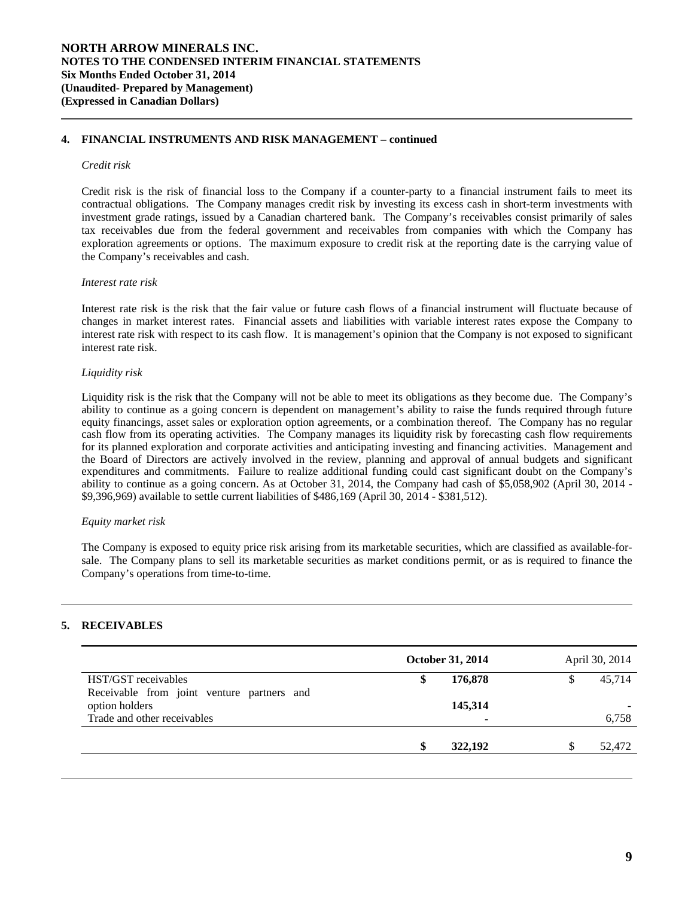# **4. FINANCIAL INSTRUMENTS AND RISK MANAGEMENT – continued**

### *Credit risk*

 $\overline{a}$ 

Credit risk is the risk of financial loss to the Company if a counter-party to a financial instrument fails to meet its contractual obligations. The Company manages credit risk by investing its excess cash in short-term investments with investment grade ratings, issued by a Canadian chartered bank. The Company's receivables consist primarily of sales tax receivables due from the federal government and receivables from companies with which the Company has exploration agreements or options. The maximum exposure to credit risk at the reporting date is the carrying value of the Company's receivables and cash.

### *Interest rate risk*

Interest rate risk is the risk that the fair value or future cash flows of a financial instrument will fluctuate because of changes in market interest rates. Financial assets and liabilities with variable interest rates expose the Company to interest rate risk with respect to its cash flow. It is management's opinion that the Company is not exposed to significant interest rate risk.

### *Liquidity risk*

Liquidity risk is the risk that the Company will not be able to meet its obligations as they become due. The Company's ability to continue as a going concern is dependent on management's ability to raise the funds required through future equity financings, asset sales or exploration option agreements, or a combination thereof. The Company has no regular cash flow from its operating activities. The Company manages its liquidity risk by forecasting cash flow requirements for its planned exploration and corporate activities and anticipating investing and financing activities. Management and the Board of Directors are actively involved in the review, planning and approval of annual budgets and significant expenditures and commitments. Failure to realize additional funding could cast significant doubt on the Company's ability to continue as a going concern. As at October 31, 2014, the Company had cash of \$5,058,902 (April 30, 2014 - \$9,396,969) available to settle current liabilities of \$486,169 (April 30, 2014 - \$381,512).

### *Equity market risk*

The Company is exposed to equity price risk arising from its marketable securities, which are classified as available-forsale. The Company plans to sell its marketable securities as market conditions permit, or as is required to finance the Company's operations from time-to-time.

# **5. RECEIVABLES**

l

l

|                                            | October 31, 2014 |         | April 30, 2014 |        |  |
|--------------------------------------------|------------------|---------|----------------|--------|--|
| HST/GST receivables                        |                  | 176,878 |                | 45.714 |  |
| Receivable from joint venture partners and |                  |         |                |        |  |
| option holders                             |                  | 145,314 |                |        |  |
| Trade and other receivables                |                  | ٠       |                | 6,758  |  |
|                                            |                  |         |                |        |  |
|                                            |                  | 322,192 |                | 52,472 |  |
|                                            |                  |         |                |        |  |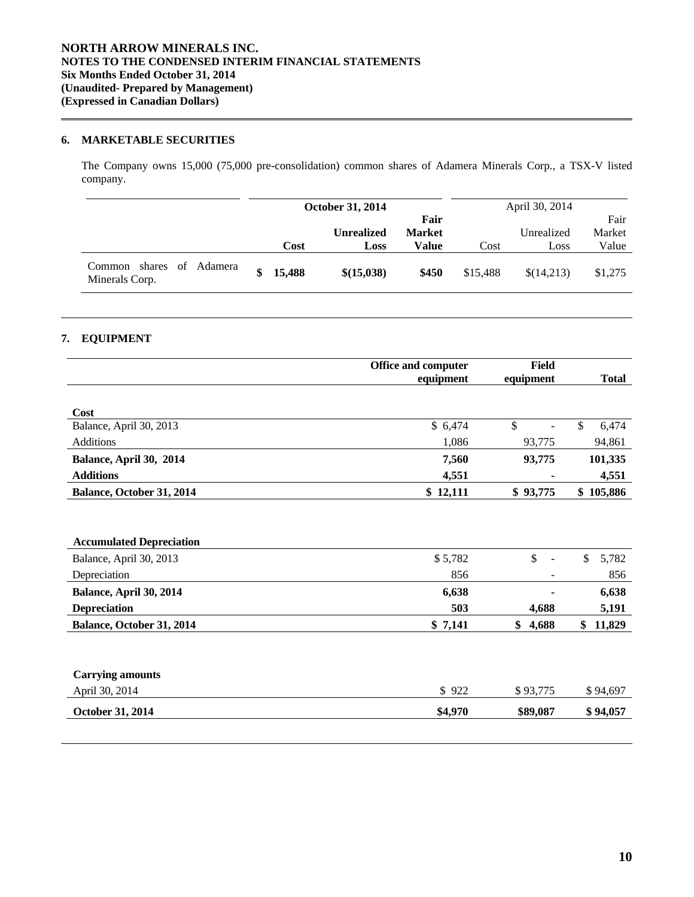# **6. MARKETABLE SECURITIES**

 The Company owns 15,000 (75,000 pre-consolidation) common shares of Adamera Minerals Corp., a TSX-V listed company.

|                                                  |        | <b>October 31, 2014</b>   |                                |          | April 30, 2014     |                         |
|--------------------------------------------------|--------|---------------------------|--------------------------------|----------|--------------------|-------------------------|
|                                                  | Cost   | <b>Unrealized</b><br>Loss | Fair<br><b>Market</b><br>Value | Cost     | Unrealized<br>Loss | Fair<br>Market<br>Value |
| of Adamera<br>shares<br>Common<br>Minerals Corp. | 15,488 | \$(15,038)                | \$450                          | \$15,488 | \$(14,213)         | \$1,275                 |

# **7. EQUIPMENT**

 $\overline{a}$ 

l

l

|                                 | Office and computer | <b>Field</b>                   |              |  |
|---------------------------------|---------------------|--------------------------------|--------------|--|
|                                 | equipment           | equipment                      | <b>Total</b> |  |
| Cost                            |                     |                                |              |  |
| Balance, April 30, 2013         | \$6,474             | \$                             | 6,474<br>\$  |  |
| Additions                       | 1,086               | 93,775                         | 94,861       |  |
| Balance, April 30, 2014         | 7,560               | 93,775                         | 101,335      |  |
| <b>Additions</b>                | 4,551               |                                | 4,551        |  |
| Balance, October 31, 2014       | \$12,111            | \$93,775                       | \$105,886    |  |
|                                 |                     |                                |              |  |
|                                 |                     |                                |              |  |
| <b>Accumulated Depreciation</b> |                     |                                |              |  |
| Balance, April 30, 2013         | \$5,782             | $\mathbb{S}$<br>$\blacksquare$ | \$<br>5,782  |  |
| Depreciation                    | 856                 |                                | 856          |  |
| Balance, April 30, 2014         | 6,638               |                                | 6,638        |  |
| <b>Depreciation</b>             | 503                 | 4,688                          | 5,191        |  |
| Balance, October 31, 2014       | \$7,141             | \$<br>4,688                    | 11,829<br>\$ |  |
|                                 |                     |                                |              |  |
| <b>Carrying amounts</b>         |                     |                                |              |  |
| April 30, 2014                  | \$922               | \$93,775                       | \$94,697     |  |
| October 31, 2014                | \$4,970             | \$89,087                       | \$94,057     |  |
|                                 |                     |                                |              |  |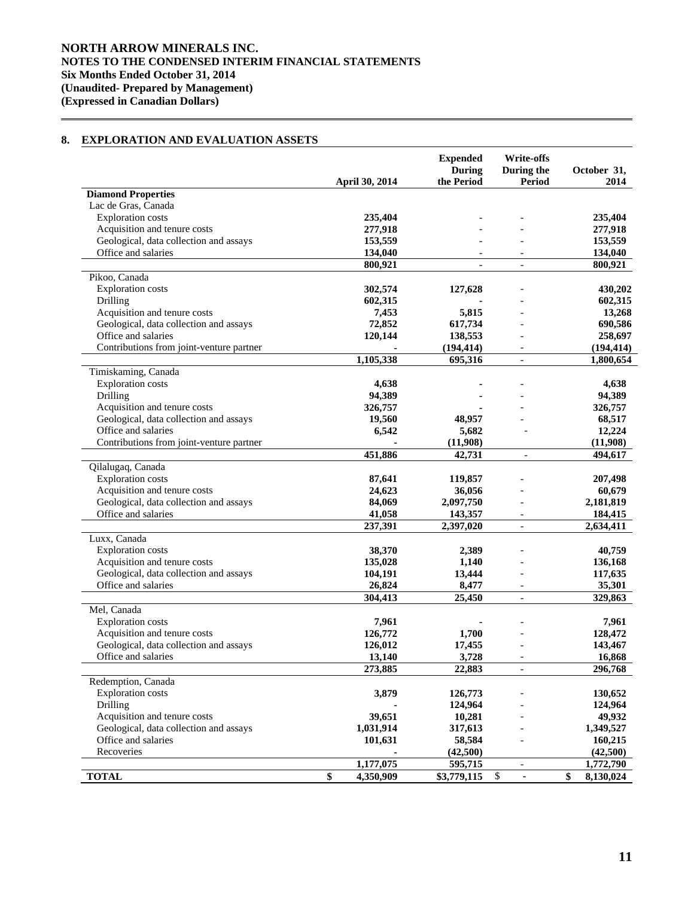# **8. EXPLORATION AND EVALUATION ASSETS**

|                                                |                | <b>Expended</b><br><b>During</b> | <b>Write-offs</b><br>During the | October 31,     |
|------------------------------------------------|----------------|----------------------------------|---------------------------------|-----------------|
|                                                | April 30, 2014 | the Period                       | Period                          | 2014            |
| <b>Diamond Properties</b>                      |                |                                  |                                 |                 |
| Lac de Gras, Canada                            |                |                                  |                                 |                 |
| <b>Exploration</b> costs                       | 235,404        |                                  |                                 | 235,404         |
| Acquisition and tenure costs                   | 277,918        |                                  |                                 | 277,918         |
| Geological, data collection and assays         | 153,559        |                                  |                                 | 153,559         |
| Office and salaries                            | 134,040        |                                  |                                 | 134,040         |
|                                                | 800,921        |                                  |                                 | 800,921         |
| Pikoo, Canada                                  |                |                                  |                                 |                 |
| <b>Exploration</b> costs                       | 302,574        | 127,628                          |                                 | 430,202         |
| Drilling                                       | 602,315        |                                  |                                 | 602,315         |
| Acquisition and tenure costs                   | 7,453          | 5,815                            |                                 | 13,268          |
| Geological, data collection and assays         | 72,852         | 617,734                          |                                 | 690,586         |
| Office and salaries                            | 120,144        | 138,553                          |                                 | 258,697         |
| Contributions from joint-venture partner       |                | (194, 414)                       |                                 | (194, 414)      |
|                                                | 1,105,338      | 695,316                          |                                 | 1,800,654       |
| Timiskaming, Canada                            |                |                                  |                                 |                 |
| <b>Exploration</b> costs                       | 4,638          |                                  |                                 | 4,638           |
| Drilling                                       | 94,389         |                                  |                                 | 94,389          |
| Acquisition and tenure costs                   | 326,757        |                                  |                                 | 326,757         |
| Geological, data collection and assays         | 19,560         | 48,957                           |                                 | 68,517          |
| Office and salaries                            | 6,542          | 5,682                            |                                 | 12,224          |
| Contributions from joint-venture partner       |                | (11,908)                         |                                 | (11,908)        |
|                                                | 451,886        | 42,731                           |                                 | 494,617         |
| Qilalugaq, Canada                              |                |                                  |                                 |                 |
| <b>Exploration</b> costs                       | 87,641         | 119,857                          |                                 | 207,498         |
| Acquisition and tenure costs                   | 24,623         | 36,056                           |                                 | 60,679          |
| Geological, data collection and assays         | 84,069         | 2,097,750                        |                                 | 2,181,819       |
| Office and salaries                            | 41,058         | 143,357                          | $\overline{\phantom{a}}$        | 184,415         |
|                                                | 237,391        | 2,397,020                        | $\overline{\phantom{a}}$        | 2,634,411       |
| Luxx, Canada                                   |                |                                  |                                 |                 |
| <b>Exploration costs</b>                       | 38,370         | 2,389                            |                                 | 40,759          |
| Acquisition and tenure costs                   | 135,028        | 1,140                            |                                 | 136,168         |
| Geological, data collection and assays         | 104,191        | 13,444                           |                                 | 117,635         |
| Office and salaries                            | 26,824         | 8,477                            |                                 | 35,301          |
|                                                | 304,413        | 25,450                           | $\overline{\phantom{a}}$        | 329,863         |
| Mel, Canada                                    |                |                                  |                                 |                 |
| <b>Exploration</b> costs                       | 7,961          |                                  |                                 | 7,961           |
| Acquisition and tenure costs                   | 126,772        | 1,700                            |                                 | 128,472         |
| Geological, data collection and assays         | 126,012        | 17,455                           |                                 | 143,467         |
| Office and salaries                            | 13,140         | 3,728                            |                                 | 16,868          |
|                                                | 273,885        | 22,883                           | $\overline{\phantom{a}}$        | 296,768         |
| Redemption, Canada<br><b>Exploration</b> costs |                |                                  |                                 |                 |
|                                                | 3,879          | 126,773                          |                                 | 130,652         |
| Drilling                                       |                | 124,964                          |                                 | 124,964         |
| Acquisition and tenure costs                   | 39,651         | 10,281                           |                                 | 49,932          |
| Geological, data collection and assays         | 1,031,914      | 317,613                          |                                 | 1,349,527       |
| Office and salaries<br>Recoveries              | 101,631        | 58,584                           |                                 | 160,215         |
|                                                | 1,177,075      | (42,500)<br>595,715              |                                 | (42,500)        |
|                                                | \$             |                                  | $\overline{\phantom{a}}$        | 1,772,790<br>\$ |
| <b>TOTAL</b>                                   | 4,350,909      | \$3,779,115                      | \$                              | 8,130,024       |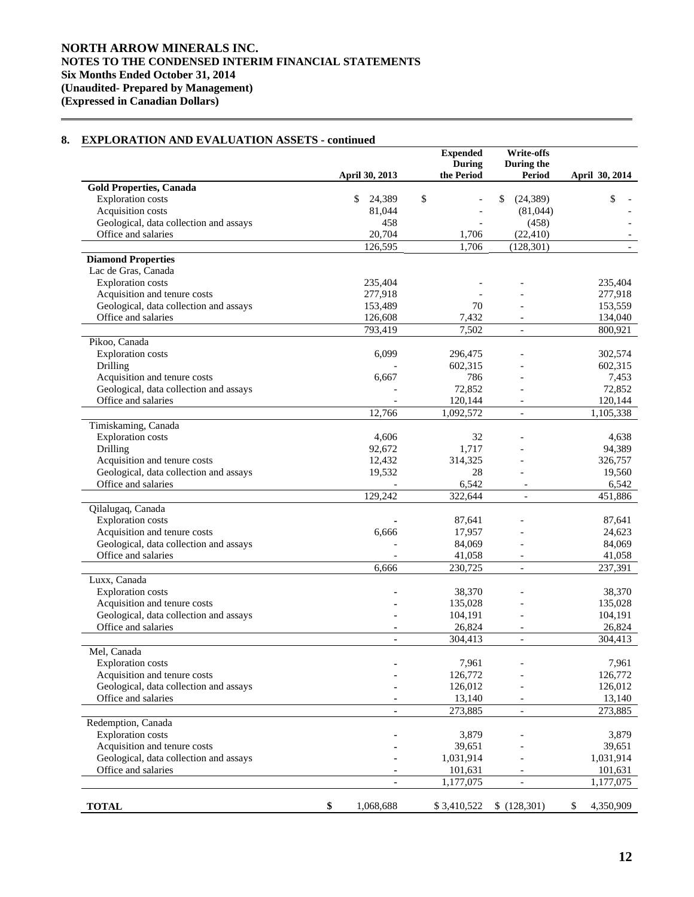# **8. EXPLORATION AND EVALUATION ASSETS - continued**

 $\overline{a}$ 

|                                        |                 | <b>Expended</b><br><b>During</b> | <b>Write-offs</b><br>During the |                 |
|----------------------------------------|-----------------|----------------------------------|---------------------------------|-----------------|
|                                        | April 30, 2013  | the Period                       | Period                          | April 30, 2014  |
| <b>Gold Properties, Canada</b>         |                 |                                  |                                 |                 |
| <b>Exploration</b> costs               | \$<br>24,389    | \$                               | \$<br>(24, 389)                 | \$              |
| Acquisition costs                      | 81,044          |                                  | (81,044)                        |                 |
| Geological, data collection and assays | 458             |                                  | (458)                           |                 |
| Office and salaries                    | 20,704          | 1,706                            | (22, 410)                       |                 |
|                                        | 126,595         | 1,706                            | (128, 301)                      |                 |
| <b>Diamond Properties</b>              |                 |                                  |                                 |                 |
| Lac de Gras, Canada                    |                 |                                  |                                 |                 |
| <b>Exploration</b> costs               | 235,404         |                                  |                                 | 235,404         |
| Acquisition and tenure costs           | 277,918         |                                  |                                 | 277,918         |
| Geological, data collection and assays | 153,489         | 70                               |                                 | 153,559         |
| Office and salaries                    | 126,608         | 7,432                            | $\blacksquare$                  | 134,040         |
|                                        | 793,419         | 7,502                            | $\overline{\phantom{a}}$        | 800,921         |
| Pikoo, Canada                          |                 |                                  |                                 |                 |
| <b>Exploration</b> costs               | 6,099           | 296,475                          |                                 | 302,574         |
| Drilling                               |                 | 602,315                          |                                 | 602,315         |
| Acquisition and tenure costs           | 6,667           | 786                              |                                 | 7,453           |
| Geological, data collection and assays |                 | 72,852                           |                                 | 72,852          |
| Office and salaries                    |                 | 120,144                          |                                 | 120,144         |
|                                        | 12,766          | 1,092,572                        | $\blacksquare$                  | 1,105,338       |
| Timiskaming, Canada                    |                 |                                  |                                 |                 |
| <b>Exploration</b> costs               | 4,606           | 32                               |                                 | 4,638           |
| Drilling                               | 92,672          | 1,717                            |                                 | 94,389          |
| Acquisition and tenure costs           | 12,432          | 314,325                          |                                 | 326,757         |
| Geological, data collection and assays | 19,532          | 28                               |                                 | 19,560          |
| Office and salaries                    |                 | 6,542                            |                                 | 6,542           |
|                                        | 129,242         | 322,644                          |                                 | 451,886         |
| Qilalugaq, Canada                      |                 |                                  |                                 |                 |
| <b>Exploration</b> costs               |                 | 87,641                           |                                 | 87,641          |
| Acquisition and tenure costs           | 6,666           | 17,957                           |                                 | 24,623          |
| Geological, data collection and assays |                 | 84,069                           |                                 | 84,069          |
| Office and salaries                    |                 | 41,058                           | $\overline{\phantom{a}}$        | 41,058          |
|                                        | 6,666           | 230,725                          | $\overline{\phantom{a}}$        | 237,391         |
| Luxx, Canada                           |                 |                                  |                                 |                 |
| <b>Exploration</b> costs               |                 | 38,370                           |                                 | 38,370          |
| Acquisition and tenure costs           |                 | 135,028                          |                                 | 135,028         |
| Geological, data collection and assays |                 | 104,191                          |                                 | 104,191         |
| Office and salaries                    |                 | 26,824                           | $\overline{a}$                  | 26,824          |
|                                        | $\blacksquare$  | 304,413                          | $\overline{\phantom{a}}$        | 304,413         |
| Mel, Canada                            |                 |                                  |                                 |                 |
| <b>Exploration</b> costs               |                 | 7,961                            |                                 | 7,961           |
| Acquisition and tenure costs           |                 | 126,772                          |                                 | 126,772         |
| Geological, data collection and assays |                 | 126,012                          |                                 | 126,012         |
| Office and salaries                    |                 | 13,140                           | $\overline{\phantom{a}}$        | 13,140          |
|                                        | $\blacksquare$  | 273,885                          | $\overline{\phantom{0}}$        | 273,885         |
| Redemption, Canada                     |                 |                                  |                                 |                 |
| <b>Exploration</b> costs               |                 | 3,879                            |                                 | 3,879           |
| Acquisition and tenure costs           |                 | 39,651                           |                                 | 39,651          |
| Geological, data collection and assays |                 | 1,031,914                        |                                 | 1,031,914       |
| Office and salaries                    |                 | 101,631                          |                                 | 101,631         |
|                                        |                 | 1,177,075                        |                                 | 1,177,075       |
|                                        |                 |                                  |                                 |                 |
| <b>TOTAL</b>                           | \$<br>1,068,688 | \$3,410,522                      | \$(128,301)                     | 4,350,909<br>\$ |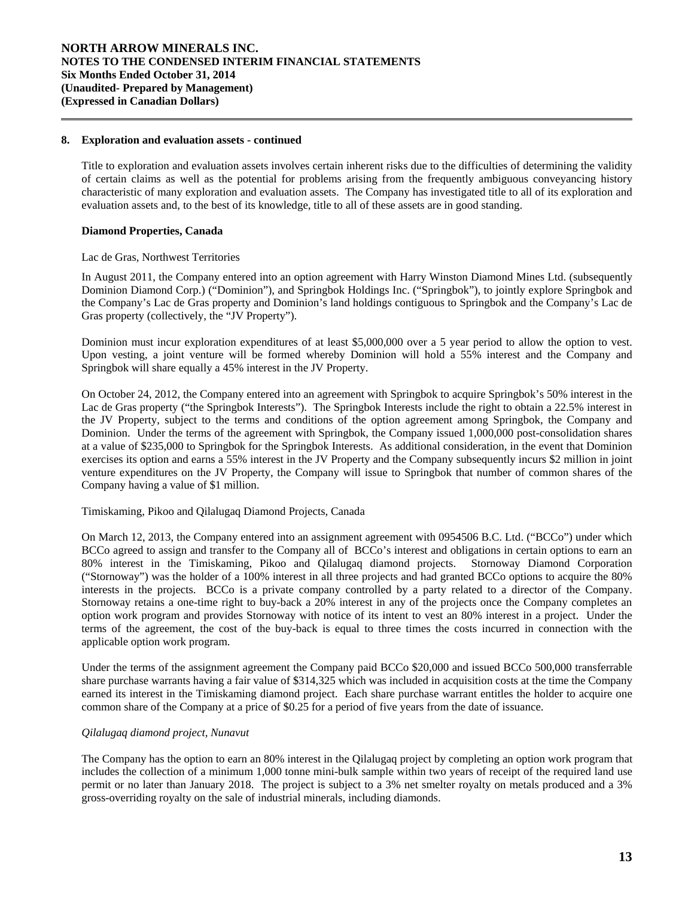### **8. Exploration and evaluation assets - continued**

 Title to exploration and evaluation assets involves certain inherent risks due to the difficulties of determining the validity of certain claims as well as the potential for problems arising from the frequently ambiguous conveyancing history characteristic of many exploration and evaluation assets. The Company has investigated title to all of its exploration and evaluation assets and, to the best of its knowledge, title to all of these assets are in good standing.

### **Diamond Properties, Canada**

 $\overline{a}$ 

### Lac de Gras, Northwest Territories

In August 2011, the Company entered into an option agreement with Harry Winston Diamond Mines Ltd. (subsequently Dominion Diamond Corp.) ("Dominion"), and Springbok Holdings Inc. ("Springbok"), to jointly explore Springbok and the Company's Lac de Gras property and Dominion's land holdings contiguous to Springbok and the Company's Lac de Gras property (collectively, the "JV Property").

Dominion must incur exploration expenditures of at least \$5,000,000 over a 5 year period to allow the option to vest. Upon vesting, a joint venture will be formed whereby Dominion will hold a 55% interest and the Company and Springbok will share equally a 45% interest in the JV Property.

On October 24, 2012, the Company entered into an agreement with Springbok to acquire Springbok's 50% interest in the Lac de Gras property ("the Springbok Interests"). The Springbok Interests include the right to obtain a 22.5% interest in the JV Property, subject to the terms and conditions of the option agreement among Springbok, the Company and Dominion. Under the terms of the agreement with Springbok, the Company issued 1,000,000 post-consolidation shares at a value of \$235,000 to Springbok for the Springbok Interests. As additional consideration, in the event that Dominion exercises its option and earns a 55% interest in the JV Property and the Company subsequently incurs \$2 million in joint venture expenditures on the JV Property, the Company will issue to Springbok that number of common shares of the Company having a value of \$1 million.

# Timiskaming, Pikoo and Qilalugaq Diamond Projects, Canada

On March 12, 2013, the Company entered into an assignment agreement with 0954506 B.C. Ltd. ("BCCo") under which BCCo agreed to assign and transfer to the Company all of BCCo's interest and obligations in certain options to earn an 80% interest in the Timiskaming, Pikoo and Qilalugaq diamond projects. Stornoway Diamond Corporation ("Stornoway") was the holder of a 100% interest in all three projects and had granted BCCo options to acquire the 80% interests in the projects. BCCo is a private company controlled by a party related to a director of the Company. Stornoway retains a one-time right to buy-back a 20% interest in any of the projects once the Company completes an option work program and provides Stornoway with notice of its intent to vest an 80% interest in a project. Under the terms of the agreement, the cost of the buy-back is equal to three times the costs incurred in connection with the applicable option work program.

Under the terms of the assignment agreement the Company paid BCCo \$20,000 and issued BCCo 500,000 transferrable share purchase warrants having a fair value of \$314,325 which was included in acquisition costs at the time the Company earned its interest in the Timiskaming diamond project. Each share purchase warrant entitles the holder to acquire one common share of the Company at a price of \$0.25 for a period of five years from the date of issuance.

### *Qilalugaq diamond project, Nunavut*

The Company has the option to earn an 80% interest in the Qilalugaq project by completing an option work program that includes the collection of a minimum 1,000 tonne mini-bulk sample within two years of receipt of the required land use permit or no later than January 2018. The project is subject to a 3% net smelter royalty on metals produced and a 3% gross-overriding royalty on the sale of industrial minerals, including diamonds.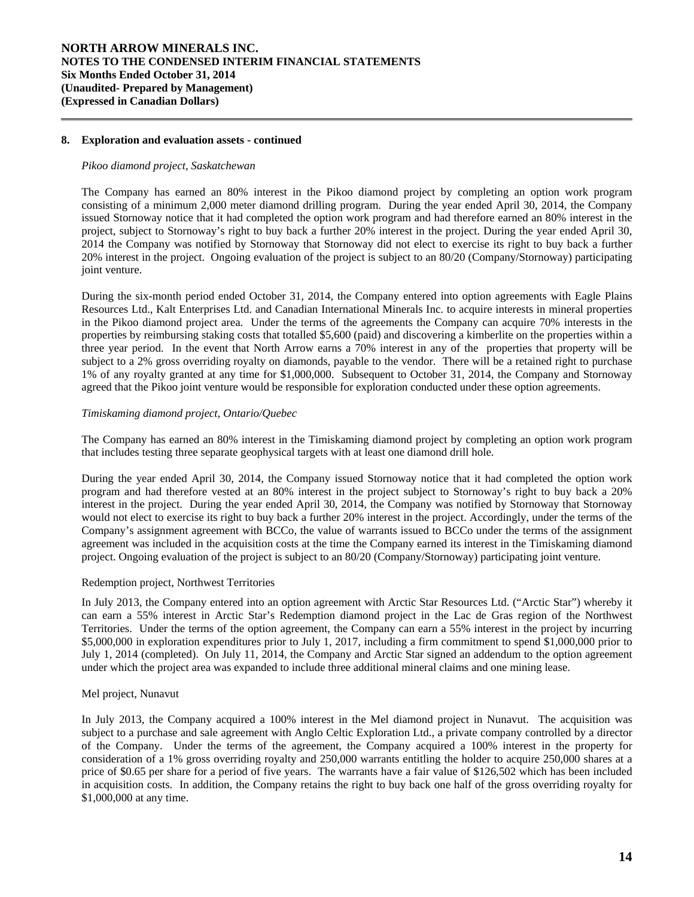### **8. Exploration and evaluation assets - continued**

### *Pikoo diamond project, Saskatchewan*

 $\overline{a}$ 

The Company has earned an 80% interest in the Pikoo diamond project by completing an option work program consisting of a minimum 2,000 meter diamond drilling program. During the year ended April 30, 2014, the Company issued Stornoway notice that it had completed the option work program and had therefore earned an 80% interest in the project, subject to Stornoway's right to buy back a further 20% interest in the project. During the year ended April 30, 2014 the Company was notified by Stornoway that Stornoway did not elect to exercise its right to buy back a further 20% interest in the project. Ongoing evaluation of the project is subject to an 80/20 (Company/Stornoway) participating joint venture.

During the six-month period ended October 31, 2014, the Company entered into option agreements with Eagle Plains Resources Ltd., Kalt Enterprises Ltd. and Canadian International Minerals Inc. to acquire interests in mineral properties in the Pikoo diamond project area. Under the terms of the agreements the Company can acquire 70% interests in the properties by reimbursing staking costs that totalled \$5,600 (paid) and discovering a kimberlite on the properties within a three year period. In the event that North Arrow earns a 70% interest in any of the properties that property will be subject to a 2% gross overriding royalty on diamonds, payable to the vendor. There will be a retained right to purchase 1% of any royalty granted at any time for \$1,000,000. Subsequent to October 31, 2014, the Company and Stornoway agreed that the Pikoo joint venture would be responsible for exploration conducted under these option agreements.

### *Timiskaming diamond project, Ontario/Quebec*

The Company has earned an 80% interest in the Timiskaming diamond project by completing an option work program that includes testing three separate geophysical targets with at least one diamond drill hole.

During the year ended April 30, 2014, the Company issued Stornoway notice that it had completed the option work program and had therefore vested at an 80% interest in the project subject to Stornoway's right to buy back a 20% interest in the project. During the year ended April 30, 2014, the Company was notified by Stornoway that Stornoway would not elect to exercise its right to buy back a further 20% interest in the project. Accordingly, under the terms of the Company's assignment agreement with BCCo, the value of warrants issued to BCCo under the terms of the assignment agreement was included in the acquisition costs at the time the Company earned its interest in the Timiskaming diamond project. Ongoing evaluation of the project is subject to an 80/20 (Company/Stornoway) participating joint venture.

### Redemption project, Northwest Territories

In July 2013, the Company entered into an option agreement with Arctic Star Resources Ltd. ("Arctic Star") whereby it can earn a 55% interest in Arctic Star's Redemption diamond project in the Lac de Gras region of the Northwest Territories. Under the terms of the option agreement, the Company can earn a 55% interest in the project by incurring \$5,000,000 in exploration expenditures prior to July 1, 2017, including a firm commitment to spend \$1,000,000 prior to July 1, 2014 (completed). On July 11, 2014, the Company and Arctic Star signed an addendum to the option agreement under which the project area was expanded to include three additional mineral claims and one mining lease.

### Mel project, Nunavut

In July 2013, the Company acquired a 100% interest in the Mel diamond project in Nunavut. The acquisition was subject to a purchase and sale agreement with Anglo Celtic Exploration Ltd., a private company controlled by a director of the Company. Under the terms of the agreement, the Company acquired a 100% interest in the property for consideration of a 1% gross overriding royalty and 250,000 warrants entitling the holder to acquire 250,000 shares at a price of \$0.65 per share for a period of five years. The warrants have a fair value of \$126,502 which has been included in acquisition costs. In addition, the Company retains the right to buy back one half of the gross overriding royalty for \$1,000,000 at any time.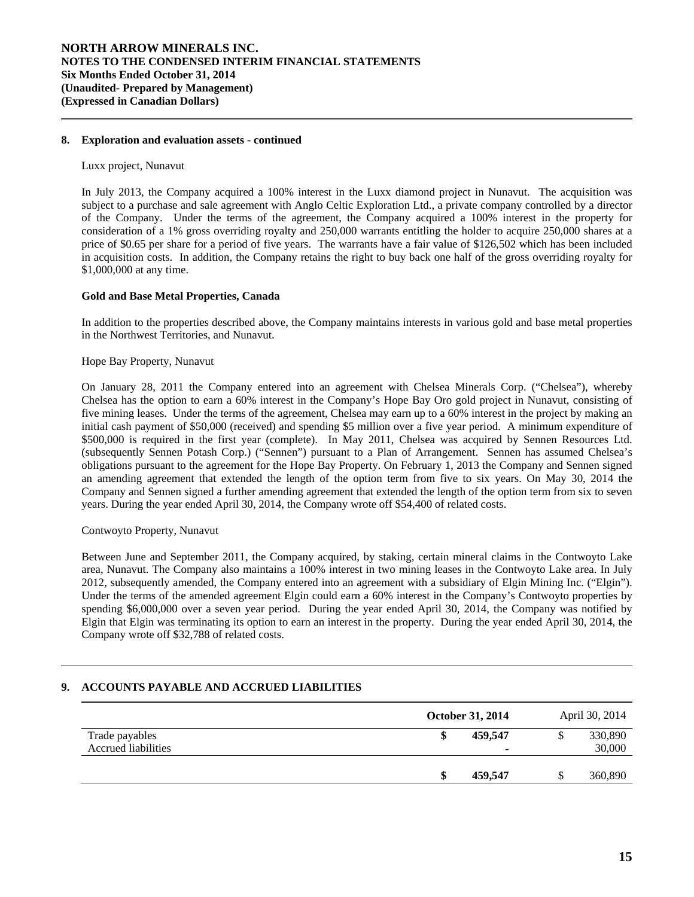### **8. Exploration and evaluation assets - continued**

#### Luxx project, Nunavut

 $\overline{a}$ 

l

In July 2013, the Company acquired a 100% interest in the Luxx diamond project in Nunavut. The acquisition was subject to a purchase and sale agreement with Anglo Celtic Exploration Ltd., a private company controlled by a director of the Company. Under the terms of the agreement, the Company acquired a 100% interest in the property for consideration of a 1% gross overriding royalty and 250,000 warrants entitling the holder to acquire 250,000 shares at a price of \$0.65 per share for a period of five years. The warrants have a fair value of \$126,502 which has been included in acquisition costs. In addition, the Company retains the right to buy back one half of the gross overriding royalty for \$1,000,000 at any time.

### **Gold and Base Metal Properties, Canada**

 In addition to the properties described above, the Company maintains interests in various gold and base metal properties in the Northwest Territories, and Nunavut.

### Hope Bay Property, Nunavut

On January 28, 2011 the Company entered into an agreement with Chelsea Minerals Corp. ("Chelsea"), whereby Chelsea has the option to earn a 60% interest in the Company's Hope Bay Oro gold project in Nunavut, consisting of five mining leases. Under the terms of the agreement, Chelsea may earn up to a 60% interest in the project by making an initial cash payment of \$50,000 (received) and spending \$5 million over a five year period. A minimum expenditure of \$500,000 is required in the first year (complete). In May 2011, Chelsea was acquired by Sennen Resources Ltd. (subsequently Sennen Potash Corp.) ("Sennen") pursuant to a Plan of Arrangement. Sennen has assumed Chelsea's obligations pursuant to the agreement for the Hope Bay Property. On February 1, 2013 the Company and Sennen signed an amending agreement that extended the length of the option term from five to six years. On May 30, 2014 the Company and Sennen signed a further amending agreement that extended the length of the option term from six to seven years. During the year ended April 30, 2014, the Company wrote off \$54,400 of related costs.

### Contwoyto Property, Nunavut

Between June and September 2011, the Company acquired, by staking, certain mineral claims in the Contwoyto Lake area, Nunavut. The Company also maintains a 100% interest in two mining leases in the Contwoyto Lake area. In July 2012, subsequently amended, the Company entered into an agreement with a subsidiary of Elgin Mining Inc. ("Elgin"). Under the terms of the amended agreement Elgin could earn a 60% interest in the Company's Contwoyto properties by spending \$6,000,000 over a seven year period. During the year ended April 30, 2014, the Company was notified by Elgin that Elgin was terminating its option to earn an interest in the property. During the year ended April 30, 2014, the Company wrote off \$32,788 of related costs.

# **9. ACCOUNTS PAYABLE AND ACCRUED LIABILITIES**

|                     | October 31, 2014         | April 30, 2014 |
|---------------------|--------------------------|----------------|
| Trade payables      | 459,547                  | 330,890        |
| Accrued liabilities | $\overline{\phantom{0}}$ | 30,000         |
|                     |                          |                |
|                     | 459,547                  | 360,890        |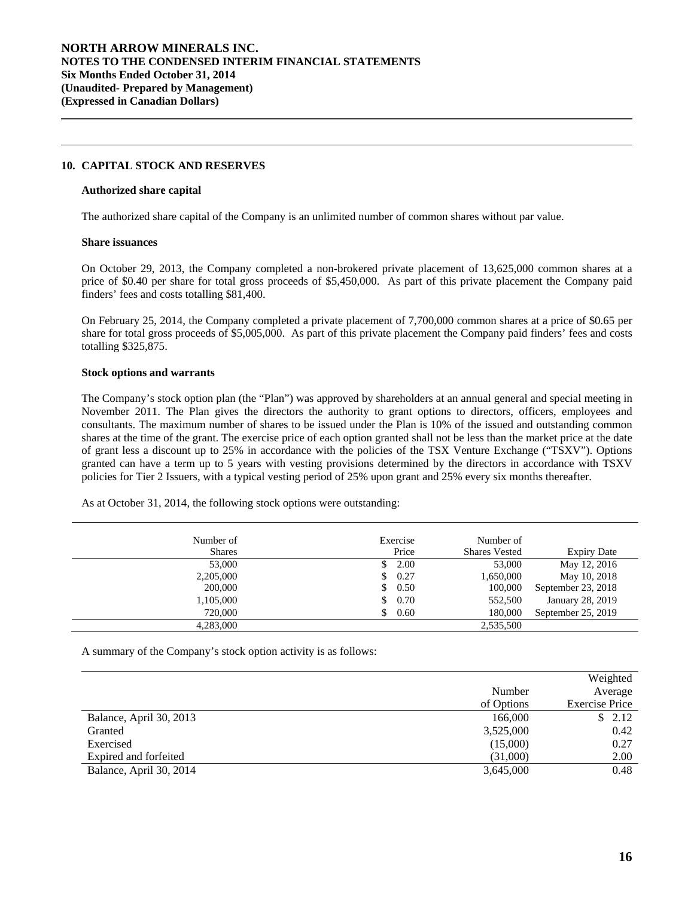### **10. CAPITAL STOCK AND RESERVES**

#### **Authorized share capital**

The authorized share capital of the Company is an unlimited number of common shares without par value.

### **Share issuances**

 $\overline{a}$ 

l

On October 29, 2013, the Company completed a non-brokered private placement of 13,625,000 common shares at a price of \$0.40 per share for total gross proceeds of \$5,450,000. As part of this private placement the Company paid finders' fees and costs totalling \$81,400.

On February 25, 2014, the Company completed a private placement of 7,700,000 common shares at a price of \$0.65 per share for total gross proceeds of \$5,005,000. As part of this private placement the Company paid finders' fees and costs totalling \$325,875.

#### **Stock options and warrants**

 The Company's stock option plan (the "Plan") was approved by shareholders at an annual general and special meeting in November 2011. The Plan gives the directors the authority to grant options to directors, officers, employees and consultants. The maximum number of shares to be issued under the Plan is 10% of the issued and outstanding common shares at the time of the grant. The exercise price of each option granted shall not be less than the market price at the date of grant less a discount up to 25% in accordance with the policies of the TSX Venture Exchange ("TSXV"). Options granted can have a term up to 5 years with vesting provisions determined by the directors in accordance with TSXV policies for Tier 2 Issuers, with a typical vesting period of 25% upon grant and 25% every six months thereafter.

As at October 31, 2014, the following stock options were outstanding:

| Number of<br><b>Shares</b> | Exercise<br>Price | Number of<br><b>Shares Vested</b> | <b>Expiry Date</b> |
|----------------------------|-------------------|-----------------------------------|--------------------|
| 53,000                     | 2.00              | 53,000                            | May 12, 2016       |
| 2,205,000                  | 0.27<br>\$.       | 1,650,000                         | May 10, 2018       |
| 200,000                    | 0.50<br>\$        | 100,000                           | September 23, 2018 |
| 1,105,000                  | 0.70<br>\$.       | 552,500                           | January 28, 2019   |
| 720,000                    | 0.60              | 180,000                           | September 25, 2019 |
| 4.283,000                  |                   | 2,535,500                         |                    |

A summary of the Company's stock option activity is as follows:

|                         |            | Weighted              |
|-------------------------|------------|-----------------------|
|                         | Number     | Average               |
|                         | of Options | <b>Exercise Price</b> |
| Balance, April 30, 2013 | 166,000    | \$2.12                |
| Granted                 | 3,525,000  | 0.42                  |
| Exercised               | (15,000)   | 0.27                  |
| Expired and forfeited   | (31,000)   | 2.00                  |
| Balance, April 30, 2014 | 3,645,000  | 0.48                  |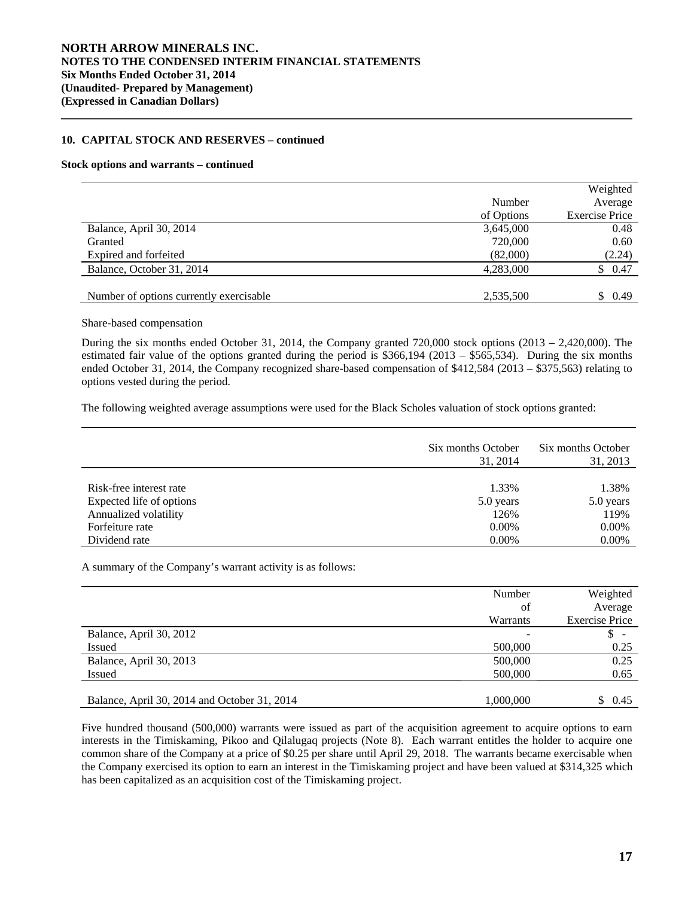### **10. CAPITAL STOCK AND RESERVES – continued**

#### **Stock options and warrants – continued**

 $\overline{a}$ 

|                                          |            | Weighted              |
|------------------------------------------|------------|-----------------------|
|                                          | Number     | Average               |
|                                          | of Options | <b>Exercise Price</b> |
| Balance, April 30, 2014                  | 3,645,000  | 0.48                  |
| Granted                                  | 720,000    | 0.60                  |
| Expired and forfeited                    | (82,000)   | (2.24)                |
| Balance, October 31, 2014                | 4,283,000  | \$0.47                |
|                                          |            |                       |
| Number of options currently exercisable. | 2,535,500  | \$0.49                |
|                                          |            |                       |

#### Share-based compensation

 During the six months ended October 31, 2014, the Company granted 720,000 stock options (2013 – 2,420,000). The estimated fair value of the options granted during the period is \$366,194 (2013 – \$565,534). During the six months ended October 31, 2014, the Company recognized share-based compensation of \$412,584 (2013 – \$375,563) relating to options vested during the period.

The following weighted average assumptions were used for the Black Scholes valuation of stock options granted:

|                          | Six months October<br>31, 2014 | Six months October<br>31, 2013 |
|--------------------------|--------------------------------|--------------------------------|
|                          |                                |                                |
| Risk-free interest rate  | 1.33%                          | 1.38%                          |
| Expected life of options | 5.0 years                      | 5.0 years                      |
| Annualized volatility    | 126%                           | 119%                           |
| Forfeiture rate          | $0.00\%$                       | 0.00%                          |
| Dividend rate            | $0.00\%$                       | 0.00%                          |

A summary of the Company's warrant activity is as follows:

|                                              | Number    | Weighted              |
|----------------------------------------------|-----------|-----------------------|
|                                              | of        | Average               |
|                                              | Warrants  | <b>Exercise Price</b> |
| Balance, April 30, 2012                      |           |                       |
| Issued                                       | 500,000   | 0.25                  |
| Balance, April 30, 2013                      | 500,000   | 0.25                  |
| <b>Issued</b>                                | 500,000   | 0.65                  |
|                                              |           |                       |
| Balance, April 30, 2014 and October 31, 2014 | 1,000,000 | 0.45                  |

Five hundred thousand (500,000) warrants were issued as part of the acquisition agreement to acquire options to earn interests in the Timiskaming, Pikoo and Qilalugaq projects (Note 8). Each warrant entitles the holder to acquire one common share of the Company at a price of \$0.25 per share until April 29, 2018. The warrants became exercisable when the Company exercised its option to earn an interest in the Timiskaming project and have been valued at \$314,325 which has been capitalized as an acquisition cost of the Timiskaming project.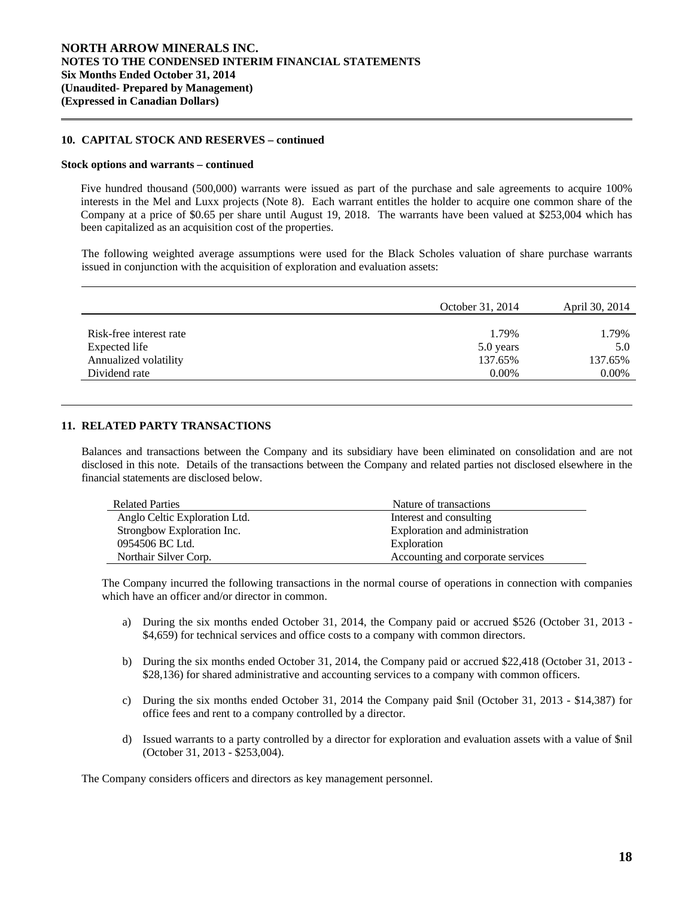### **10. CAPITAL STOCK AND RESERVES – continued**

#### **Stock options and warrants – continued**

 $\overline{a}$ 

l

Five hundred thousand (500,000) warrants were issued as part of the purchase and sale agreements to acquire 100% interests in the Mel and Luxx projects (Note 8). Each warrant entitles the holder to acquire one common share of the Company at a price of \$0.65 per share until August 19, 2018. The warrants have been valued at \$253,004 which has been capitalized as an acquisition cost of the properties.

The following weighted average assumptions were used for the Black Scholes valuation of share purchase warrants issued in conjunction with the acquisition of exploration and evaluation assets:

|                         | October 31, 2014 | April 30, 2014 |
|-------------------------|------------------|----------------|
|                         |                  |                |
| Risk-free interest rate | 1.79%            | 1.79%          |
| Expected life           | 5.0 years        | 5.0            |
| Annualized volatility   | 137.65%          | 137.65%        |
| Dividend rate           | $0.00\%$         | 0.00%          |

### **11. RELATED PARTY TRANSACTIONS**

Balances and transactions between the Company and its subsidiary have been eliminated on consolidation and are not disclosed in this note. Details of the transactions between the Company and related parties not disclosed elsewhere in the financial statements are disclosed below.

| <b>Related Parties</b>        | Nature of transactions            |
|-------------------------------|-----------------------------------|
| Anglo Celtic Exploration Ltd. | Interest and consulting           |
| Strongbow Exploration Inc.    | Exploration and administration    |
| 0954506 BC Ltd.               | Exploration                       |
| Northair Silver Corp.         | Accounting and corporate services |

The Company incurred the following transactions in the normal course of operations in connection with companies which have an officer and/or director in common.

- a) During the six months ended October 31, 2014, the Company paid or accrued \$526 (October 31, 2013 \$4,659) for technical services and office costs to a company with common directors.
- b) During the six months ended October 31, 2014, the Company paid or accrued \$22,418 (October 31, 2013 \$28,136) for shared administrative and accounting services to a company with common officers.
- c) During the six months ended October 31, 2014 the Company paid \$nil (October 31, 2013 \$14,387) for office fees and rent to a company controlled by a director.
- d) Issued warrants to a party controlled by a director for exploration and evaluation assets with a value of \$nil (October 31, 2013 - \$253,004).

The Company considers officers and directors as key management personnel.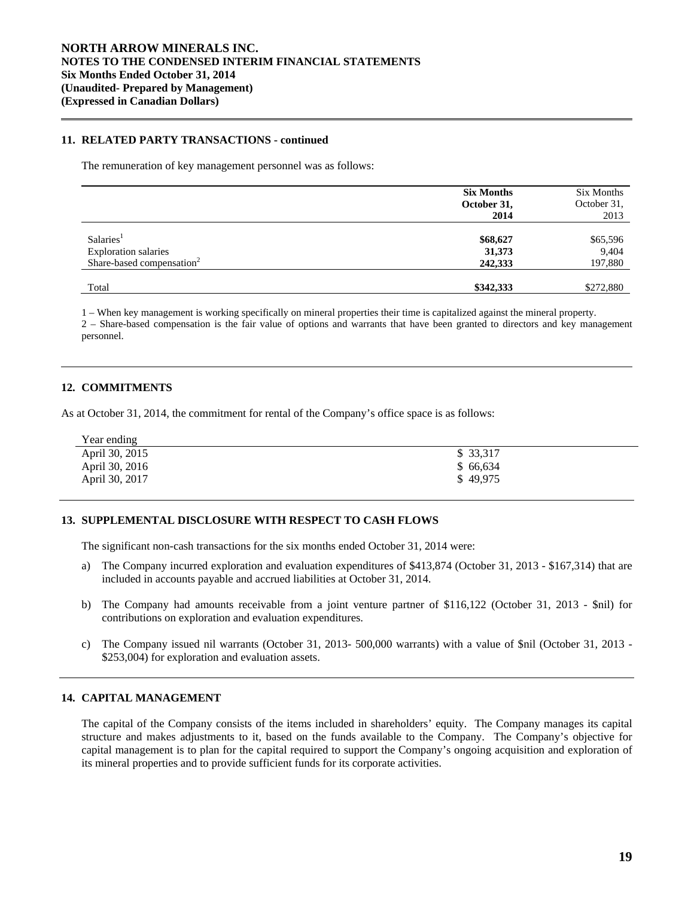### **11. RELATED PARTY TRANSACTIONS - continued**

The remuneration of key management personnel was as follows:

|                                                                      | <b>Six Months</b><br>October 31,<br>2014 | Six Months<br>October 31,<br>2013 |
|----------------------------------------------------------------------|------------------------------------------|-----------------------------------|
| Salaries <sup>1</sup>                                                | \$68,627                                 | \$65,596                          |
| <b>Exploration salaries</b><br>Share-based compensation <sup>2</sup> | 31,373<br>242,333                        | 9,404<br>197,880                  |
| Total                                                                | \$342,333                                | \$272,880                         |

1 – When key management is working specifically on mineral properties their time is capitalized against the mineral property.

2 – Share-based compensation is the fair value of options and warrants that have been granted to directors and key management personnel.

### **12. COMMITMENTS**

 $\overline{a}$ 

l

As at October 31, 2014, the commitment for rental of the Company's office space is as follows:

| Year ending    |           |
|----------------|-----------|
| April 30, 2015 | \$ 33,317 |
| April 30, 2016 | \$66,634  |
| April 30, 2017 | \$49,975  |

# **13. SUPPLEMENTAL DISCLOSURE WITH RESPECT TO CASH FLOWS**

The significant non-cash transactions for the six months ended October 31, 2014 were:

- a) The Company incurred exploration and evaluation expenditures of \$413,874 (October 31, 2013 \$167,314) that are included in accounts payable and accrued liabilities at October 31, 2014.
- b) The Company had amounts receivable from a joint venture partner of \$116,122 (October 31, 2013 \$nil) for contributions on exploration and evaluation expenditures.
- c) The Company issued nil warrants (October 31, 2013- 500,000 warrants) with a value of \$nil (October 31, 2013 \$253,004) for exploration and evaluation assets.

### **14. CAPITAL MANAGEMENT**

 The capital of the Company consists of the items included in shareholders' equity. The Company manages its capital structure and makes adjustments to it, based on the funds available to the Company. The Company's objective for capital management is to plan for the capital required to support the Company's ongoing acquisition and exploration of its mineral properties and to provide sufficient funds for its corporate activities.